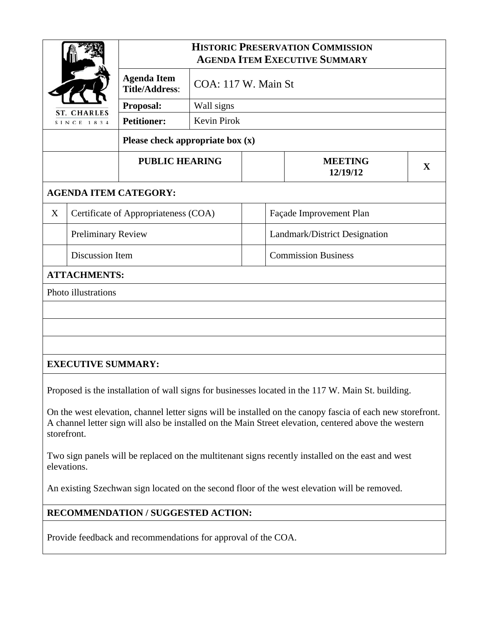| <b>CHARLES</b><br>SINCE 1834 |                                      | <b>HISTORIC PRESERVATION COMMISSION</b><br><b>AGENDA ITEM EXECUTIVE SUMMARY</b> |                     |  |                               |                                                                                                                                                                                                                     |   |  |
|------------------------------|--------------------------------------|---------------------------------------------------------------------------------|---------------------|--|-------------------------------|---------------------------------------------------------------------------------------------------------------------------------------------------------------------------------------------------------------------|---|--|
|                              |                                      | <b>Agenda Item</b><br><b>Title/Address:</b>                                     | COA: 117 W. Main St |  |                               |                                                                                                                                                                                                                     |   |  |
|                              |                                      | Proposal:                                                                       | Wall signs          |  |                               |                                                                                                                                                                                                                     |   |  |
|                              |                                      | <b>Petitioner:</b>                                                              | Kevin Pirok         |  |                               |                                                                                                                                                                                                                     |   |  |
|                              |                                      | Please check appropriate box $(x)$                                              |                     |  |                               |                                                                                                                                                                                                                     |   |  |
| <b>PUBLIC HEARING</b>        |                                      |                                                                                 |                     |  |                               | <b>MEETING</b><br>12/19/12                                                                                                                                                                                          | X |  |
|                              |                                      | <b>AGENDA ITEM CATEGORY:</b>                                                    |                     |  |                               |                                                                                                                                                                                                                     |   |  |
| X                            | Certificate of Appropriateness (COA) |                                                                                 |                     |  | Façade Improvement Plan       |                                                                                                                                                                                                                     |   |  |
|                              | <b>Preliminary Review</b>            |                                                                                 |                     |  | Landmark/District Designation |                                                                                                                                                                                                                     |   |  |
|                              | Discussion Item                      |                                                                                 |                     |  | <b>Commission Business</b>    |                                                                                                                                                                                                                     |   |  |
|                              | <b>ATTACHMENTS:</b>                  |                                                                                 |                     |  |                               |                                                                                                                                                                                                                     |   |  |
|                              | <b>Photo illustrations</b>           |                                                                                 |                     |  |                               |                                                                                                                                                                                                                     |   |  |
|                              |                                      |                                                                                 |                     |  |                               |                                                                                                                                                                                                                     |   |  |
|                              |                                      |                                                                                 |                     |  |                               |                                                                                                                                                                                                                     |   |  |
|                              |                                      |                                                                                 |                     |  |                               |                                                                                                                                                                                                                     |   |  |
|                              | <b>EXECUTIVE SUMMARY:</b>            |                                                                                 |                     |  |                               |                                                                                                                                                                                                                     |   |  |
|                              |                                      |                                                                                 |                     |  |                               | Proposed is the installation of wall signs for businesses located in the 117 W. Main St. building.                                                                                                                  |   |  |
|                              |                                      |                                                                                 |                     |  |                               |                                                                                                                                                                                                                     |   |  |
|                              | storefront.                          |                                                                                 |                     |  |                               | On the west elevation, channel letter signs will be installed on the canopy fascia of each new storefront.<br>A channel letter sign will also be installed on the Main Street elevation, centered above the western |   |  |
|                              | elevations.                          |                                                                                 |                     |  |                               | Two sign panels will be replaced on the multitenant signs recently installed on the east and west                                                                                                                   |   |  |
|                              |                                      |                                                                                 |                     |  |                               | An existing Szechwan sign located on the second floor of the west elevation will be removed.                                                                                                                        |   |  |

## **RECOMMENDATION / SUGGESTED ACTION:**

Provide feedback and recommendations for approval of the COA.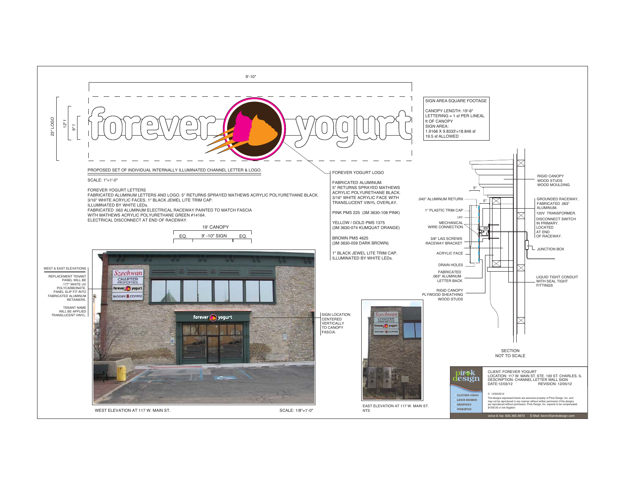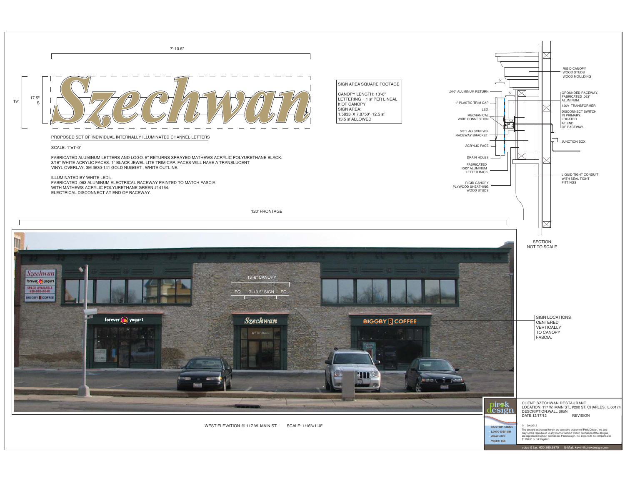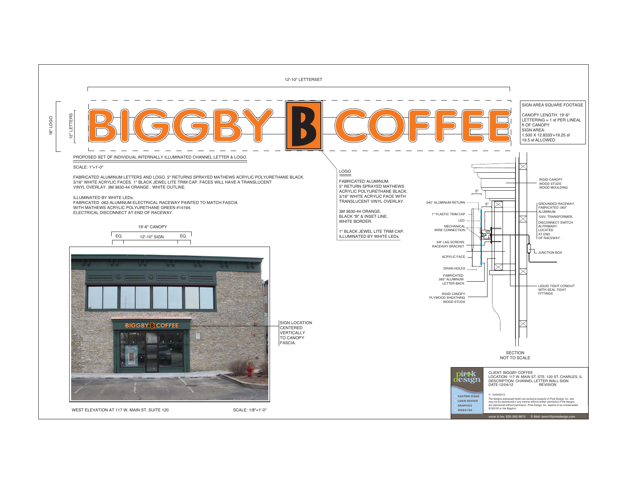